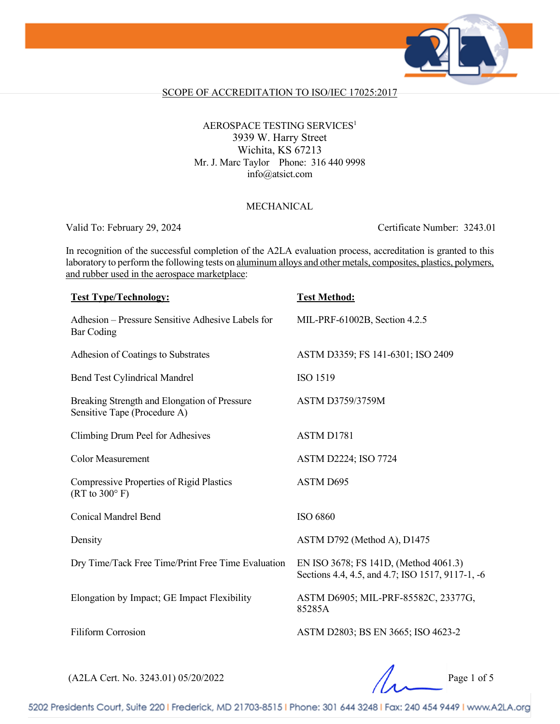

## SCOPE OF ACCREDITATION TO ISO/IEC 17025:2017

## AEROSPACE TESTING SERVICES<sup>1</sup> 3939 W. Harry Street Wichita, KS 67213 Mr. J. Marc Taylor Phone: 316 440 9998 info@atsict.com

## MECHANICAL

Valid To: February 29, 2024 Certificate Number: 3243.01

In recognition of the successful completion of the A2LA evaluation process, accreditation is granted to this laboratory to perform the following tests on aluminum alloys and other metals, composites, plastics, polymers, and rubber used in the aerospace marketplace:

| <b>Test Type/Technology:</b>                                                 | <b>Test Method:</b>                                                                       |
|------------------------------------------------------------------------------|-------------------------------------------------------------------------------------------|
| Adhesion – Pressure Sensitive Adhesive Labels for<br><b>Bar Coding</b>       | MIL-PRF-61002B, Section 4.2.5                                                             |
| Adhesion of Coatings to Substrates                                           | ASTM D3359; FS 141-6301; ISO 2409                                                         |
| <b>Bend Test Cylindrical Mandrel</b>                                         | <b>ISO 1519</b>                                                                           |
| Breaking Strength and Elongation of Pressure<br>Sensitive Tape (Procedure A) | <b>ASTM D3759/3759M</b>                                                                   |
| Climbing Drum Peel for Adhesives                                             | ASTM D1781                                                                                |
| <b>Color Measurement</b>                                                     | <b>ASTM D2224; ISO 7724</b>                                                               |
| Compressive Properties of Rigid Plastics<br>$(RT to 300^{\circ} F)$          | <b>ASTM D695</b>                                                                          |
| <b>Conical Mandrel Bend</b>                                                  | ISO 6860                                                                                  |
| Density                                                                      | ASTM D792 (Method A), D1475                                                               |
| Dry Time/Tack Free Time/Print Free Time Evaluation                           | EN ISO 3678; FS 141D, (Method 4061.3)<br>Sections 4.4, 4.5, and 4.7; ISO 1517, 9117-1, -6 |
| Elongation by Impact; GE Impact Flexibility                                  | ASTM D6905; MIL-PRF-85582C, 23377G,<br>85285A                                             |
| <b>Filiform Corrosion</b>                                                    | ASTM D2803; BS EN 3665; ISO 4623-2                                                        |
|                                                                              |                                                                                           |

(A2LA Cert. No. 3243.01) 05/20/2022 Page 1 of 5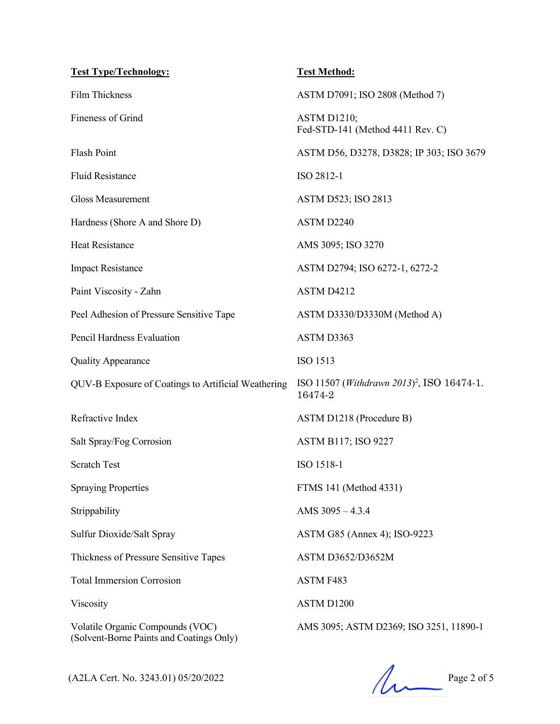| <b>Test Type/Technology:</b>                                                 | <b>Test Method:</b>                                                        |
|------------------------------------------------------------------------------|----------------------------------------------------------------------------|
| Film Thickness                                                               | ASTM D7091; ISO 2808 (Method 7)                                            |
| Fineness of Grind                                                            | <b>ASTM D1210;</b><br>Fed-STD-141 (Method 4411 Rev. C)                     |
| Flash Point                                                                  | ASTM D56, D3278, D3828; IP 303; ISO 3679                                   |
| <b>Fluid Resistance</b>                                                      | ISO 2812-1                                                                 |
| <b>Gloss Measurement</b>                                                     | <b>ASTM D523; ISO 2813</b>                                                 |
| Hardness (Shore A and Shore D)                                               | ASTM D2240                                                                 |
| <b>Heat Resistance</b>                                                       | AMS 3095; ISO 3270                                                         |
| <b>Impact Resistance</b>                                                     | ASTM D2794; ISO 6272-1, 6272-2                                             |
| Paint Viscosity - Zahn                                                       | ASTM D4212                                                                 |
| Peel Adhesion of Pressure Sensitive Tape                                     | ASTM D3330/D3330M (Method A)                                               |
| Pencil Hardness Evaluation                                                   | ASTM D3363                                                                 |
| <b>Quality Appearance</b>                                                    | ISO 1513                                                                   |
| QUV-B Exposure of Coatings to Artificial Weathering                          | ISO 11507 ( <i>Withdrawn 2013</i> ) <sup>2</sup> , ISO 16474-1.<br>16474-2 |
| Refractive Index                                                             | ASTM D1218 (Procedure B)                                                   |
| Salt Spray/Fog Corrosion                                                     | <b>ASTM B117; ISO 9227</b>                                                 |
| <b>Scratch Test</b>                                                          | ISO 1518-1                                                                 |
| <b>Spraying Properties</b>                                                   | FTMS 141 (Method 4331)                                                     |
| Strippability                                                                | AMS $3095 - 4.3.4$                                                         |
| Sulfur Dioxide/Salt Spray                                                    | ASTM G85 (Annex 4); ISO-9223                                               |
| Thickness of Pressure Sensitive Tapes                                        | ASTM D3652/D3652M                                                          |
| <b>Total Immersion Corrosion</b>                                             | ASTM F483                                                                  |
| Viscosity                                                                    | ASTM D1200                                                                 |
| Volatile Organic Compounds (VOC)<br>(Solvent-Borne Paints and Coatings Only) | AMS 3095; ASTM D2369; ISO 3251, 11890-1                                    |

(A2LA Cert. No. 3243.01) 05/20/2022 Page 2 of 5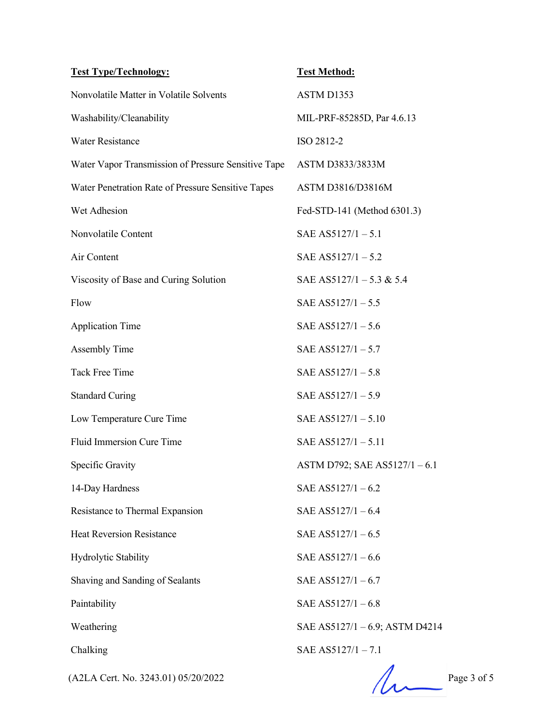| <b>Test Type/Technology:</b>                        | <b>Test Method:</b>            |
|-----------------------------------------------------|--------------------------------|
| Nonvolatile Matter in Volatile Solvents             | ASTM D1353                     |
| Washability/Cleanability                            | MIL-PRF-85285D, Par 4.6.13     |
| <b>Water Resistance</b>                             | ISO 2812-2                     |
| Water Vapor Transmission of Pressure Sensitive Tape | ASTM D3833/3833M               |
| Water Penetration Rate of Pressure Sensitive Tapes  | ASTM D3816/D3816M              |
| Wet Adhesion                                        | Fed-STD-141 (Method 6301.3)    |
| Nonvolatile Content                                 | SAE AS5127/1 $-5.1$            |
| Air Content                                         | SAE AS5127/1 $-5.2$            |
| Viscosity of Base and Curing Solution               | SAE AS5127/1 – 5.3 & 5.4       |
| Flow                                                | SAE AS5127/1 $-5.5$            |
| <b>Application Time</b>                             | SAE AS5127/1 $-5.6$            |
| <b>Assembly Time</b>                                | SAE AS5127/1 $-5.7$            |
| <b>Tack Free Time</b>                               | SAE AS5127/1 $-5.8$            |
| <b>Standard Curing</b>                              | SAE AS5127/1 $-5.9$            |
| Low Temperature Cure Time                           | SAE AS5127/1 - 5.10            |
| Fluid Immersion Cure Time                           | SAE AS5127/1 $-5.11$           |
| Specific Gravity                                    | ASTM D792; SAE AS5127/1-6.1    |
| 14-Day Hardness                                     | SAE AS5127/1 $-6.2$            |
| Resistance to Thermal Expansion                     | SAE AS5127/1-6.4               |
| <b>Heat Reversion Resistance</b>                    | SAE AS5127/1 $-6.5$            |
| Hydrolytic Stability                                | SAE AS5127/1 $-6.6$            |
| Shaving and Sanding of Sealants                     | SAE AS5127/1 $-6.7$            |
| Paintability                                        | SAE AS5127/1 $-6.8$            |
| Weathering                                          | SAE AS5127/1 - 6.9; ASTM D4214 |
| Chalking                                            | SAE AS5127/1 $-7.1$            |
| (A2LA Cert. No. 3243.01) 05/20/2022                 | Page 3 of 5                    |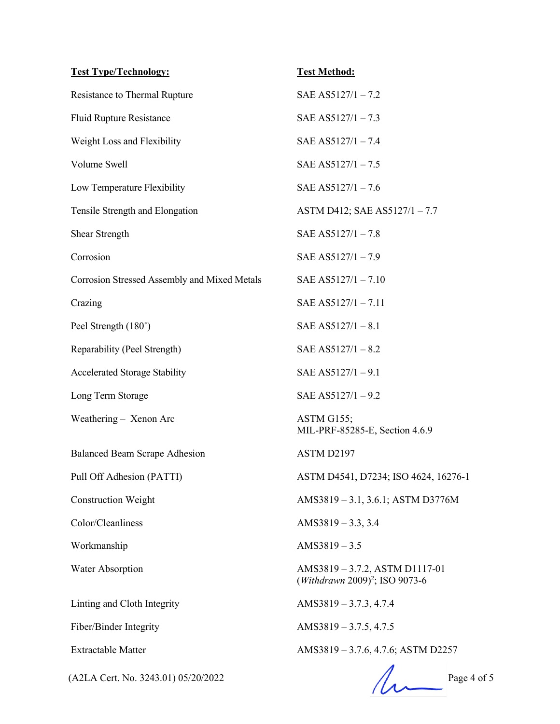| <b>Test Type/Technology:</b>                 | <b>Test Method:</b>                                                          |
|----------------------------------------------|------------------------------------------------------------------------------|
| Resistance to Thermal Rupture                | SAE AS5127/1-7.2                                                             |
| <b>Fluid Rupture Resistance</b>              | SAE AS5127/1-7.3                                                             |
| Weight Loss and Flexibility                  | SAE AS5127/1 - 7.4                                                           |
| Volume Swell                                 | SAE AS5127/1 $-7.5$                                                          |
| Low Temperature Flexibility                  | SAE AS5127/1 $-7.6$                                                          |
| Tensile Strength and Elongation              | ASTM D412; SAE AS5127/1 - 7.7                                                |
| <b>Shear Strength</b>                        | SAE AS5127/1 - 7.8                                                           |
| Corrosion                                    | SAE AS5127/1-7.9                                                             |
| Corrosion Stressed Assembly and Mixed Metals | SAE AS5127/1-7.10                                                            |
| Crazing                                      | SAE AS5127/1-7.11                                                            |
| Peel Strength (180°)                         | SAE AS5127/1 $-8.1$                                                          |
| Reparability (Peel Strength)                 | SAE AS5127/1 $-8.2$                                                          |
| Accelerated Storage Stability                | SAE AS5127/1 $-9.1$                                                          |
| Long Term Storage                            | SAE AS5127/1 $-9.2$                                                          |
| Weathering - Xenon Arc                       | ASTM G155;<br>MIL-PRF-85285-E, Section 4.6.9                                 |
| <b>Balanced Beam Scrape Adhesion</b>         | ASTM D2197                                                                   |
| Pull Off Adhesion (PATTI)                    | ASTM D4541, D7234; ISO 4624, 16276-1                                         |
| <b>Construction Weight</b>                   | AMS3819 - 3.1, 3.6.1; ASTM D3776M                                            |
| Color/Cleanliness                            | AMS3819 $-3.3, 3.4$                                                          |
| Workmanship                                  | $AMS3819 - 3.5$                                                              |
| Water Absorption                             | AMS3819 – 3.7.2, ASTM D1117-01<br>(Withdrawn 2009) <sup>2</sup> ; ISO 9073-6 |
| Linting and Cloth Integrity                  | AMS3819 - 3.7.3, 4.7.4                                                       |
| Fiber/Binder Integrity                       | AMS3819 $-3.7.5$ , 4.7.5                                                     |
| <b>Extractable Matter</b>                    | AMS3819 - 3.7.6, 4.7.6; ASTM D2257                                           |
| (A2LA Cert. No. 3243.01) 05/20/2022          | Page 4 of 5                                                                  |